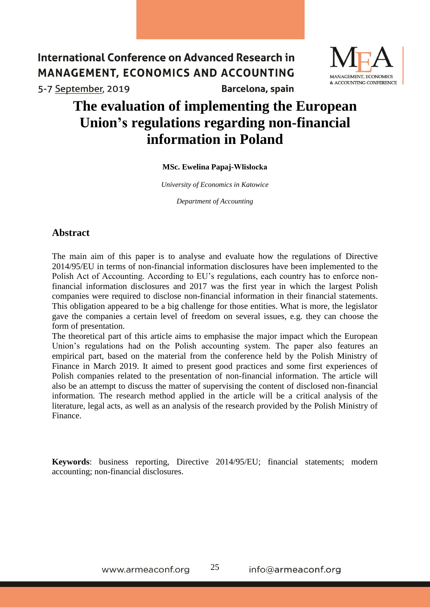

# **The evaluation of implementing the European Union's regulations regarding non-financial information in Poland**

#### **MSc. Ewelina Papaj-Wlisłocka**

*University of Economics in Katowice*

*Department of Accounting*

## **Abstract**

The main aim of this paper is to analyse and evaluate how the regulations of Directive 2014/95/EU in terms of non-financial information disclosures have been implemented to the Polish Act of Accounting. According to EU's regulations, each country has to enforce nonfinancial information disclosures and 2017 was the first year in which the largest Polish companies were required to disclose non-financial information in their financial statements. This obligation appeared to be a big challenge for those entities. What is more, the legislator gave the companies a certain level of freedom on several issues, e.g. they can choose the form of presentation.

The theoretical part of this article aims to emphasise the major impact which the European Union's regulations had on the Polish accounting system. The paper also features an empirical part, based on the material from the conference held by the Polish Ministry of Finance in March 2019. It aimed to present good practices and some first experiences of Polish companies related to the presentation of non-financial information. The article will also be an attempt to discuss the matter of supervising the content of disclosed non-financial information. The research method applied in the article will be a critical analysis of the literature, legal acts, as well as an analysis of the research provided by the Polish Ministry of Finance.

**Keywords**: business reporting, Directive 2014/95/EU; financial statements; modern accounting; non-financial disclosures.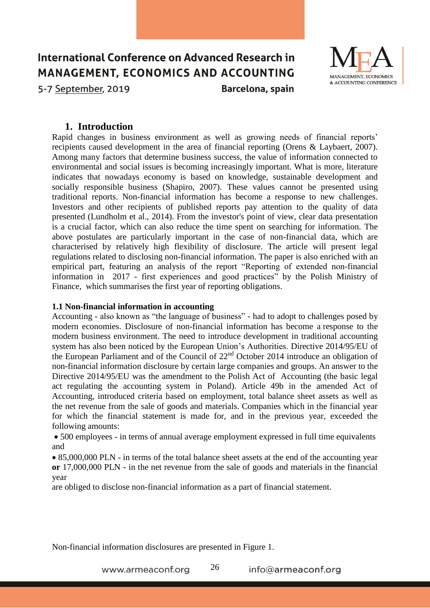

### **1. Introduction**

Rapid changes in business environment as well as growing needs of financial reports' recipients caused development in the area of financial reporting (Orens & Laybaert, 2007). Among many factors that determine business success, the value of information connected to environmental and social issues is becoming increasingly important. What is more, literature indicates that nowadays economy is based on knowledge, sustainable development and socially responsible business (Shapiro, 2007). These values cannot be presented using traditional reports. Non-financial information has become a response to new challenges. Investors and other recipients of published reports pay attention to the quality of data presented (Lundholm et al., 2014). From the investor's point of view, clear data presentation is a crucial factor, which can also reduce the time spent on searching for information. The above postulates are particularly important in the case of non-financial data, which are characterised by relatively high flexibility of disclosure. The article will present legal regulations related to disclosing non-financial information. The paper is also enriched with an empirical part, featuring an analysis of the report "Reporting of extended non-financial information in 2017 - first experiences and good practices" by the Polish Ministry of Finance, which summarises the first year of reporting obligations.

#### **1.1 Non-financial information in accounting**

Accounting - also known as "the language of business" - had to adopt to challenges posed by modern economies. Disclosure of non-financial information has become a response to the modern business environment. The need to introduce development in traditional accounting system has also been noticed by the European Union's Authorities. Directive 2014/95/EU of the European Parliament and of the Council of 22nd October 2014 introduce an obligation of non-financial information disclosure by certain large companies and groups. An answer to the Directive 2014/95/EU was the amendment to the Polish Act of Accounting (the basic legal act regulating the accounting system in Poland). Article 49b in the amended Act of Accounting, introduced criteria based on employment, total balance sheet assets as well as the net revenue from the sale of goods and materials. Companies which in the financial year for which the financial statement is made for, and in the previous year, exceeded the following amounts:

• 500 employees - in terms of annual average employment expressed in full time equivalents and

• 85,000,000 PLN - in terms of the total balance sheet assets at the end of the accounting year **or** 17,000,000 PLN - in the net revenue from the sale of goods and materials in the financial year

are obliged to disclose non-financial information as a part of financial statement.

Non-financial information disclosures are presented in Figure 1.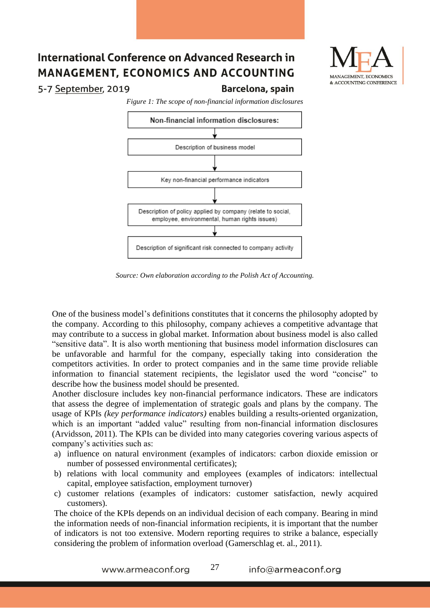

5-7 September, 2019

*Figure 1: The scope of non-financial information disclosures*

Barcelona, spain



*Source: Own elaboration according to the Polish Act of Accounting.*

One of the business model's definitions constitutes that it concerns the philosophy adopted by the company. According to this philosophy, company achieves a competitive advantage that may contribute to a success in global market. Information about business model is also called "sensitive data". It is also worth mentioning that business model information disclosures can be unfavorable and harmful for the company, especially taking into consideration the competitors activities. In order to protect companies and in the same time provide reliable information to financial statement recipients, the legislator used the word "concise" to describe how the business model should be presented.

Another disclosure includes key non-financial performance indicators. These are indicators that assess the degree of implementation of strategic goals and plans by the company. The usage of KPIs *(key performance indicators)* enables building a results-oriented organization, which is an important "added value" resulting from non-financial information disclosures (Arvidsson, 2011). The KPIs can be divided into many categories covering various aspects of company's activities such as:

- a) influence on natural environment (examples of indicators: carbon dioxide emission or number of possessed environmental certificates);
- b) relations with local community and employees (examples of indicators: intellectual capital, employee satisfaction, employment turnover)
- c) customer relations (examples of indicators: customer satisfaction, newly acquired customers).

The choice of the KPIs depends on an individual decision of each company. Bearing in mind the information needs of non-financial information recipients, it is important that the number of indicators is not too extensive. Modern reporting requires to strike a balance, especially considering the problem of information overload (Gamerschlag et. al., 2011).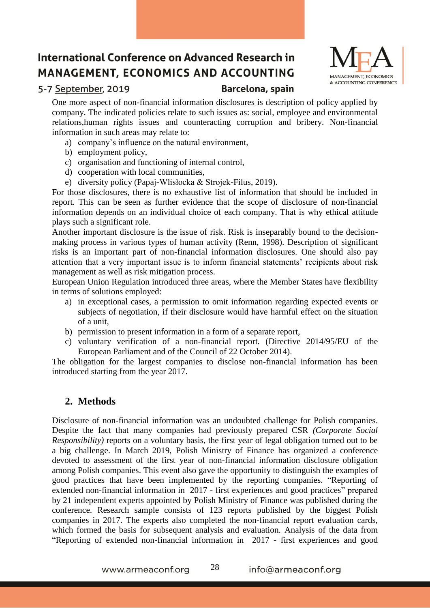

### 5-7 September, 2019

Barcelona, spain

One more aspect of non-financial information disclosures is description of policy applied by company. The indicated policies relate to such issues as: social, employee and environmental relations,human rights issues and counteracting corruption and bribery. Non-financial information in such areas may relate to:

- a) company's influence on the natural environment,
- b) employment policy,
- c) organisation and functioning of internal control,
- d) cooperation with local communities,
- e) diversity policy (Papaj-Wlisłocka & Strojek-Filus, 2019).

For those disclosures, there is no exhaustive list of information that should be included in report. This can be seen as further evidence that the scope of disclosure of non-financial information depends on an individual choice of each company. That is why ethical attitude plays such a significant role.

Another important disclosure is the issue of risk. Risk is inseparably bound to the decisionmaking process in various types of human activity (Renn, 1998). Description of significant risks is an important part of non-financial information disclosures. One should also pay attention that a very important issue is to inform financial statements' recipients about risk management as well as risk mitigation process.

European Union Regulation introduced three areas, where the Member States have flexibility in terms of solutions employed:

- a) in exceptional cases, a permission to omit information regarding expected events or subjects of negotiation, if their disclosure would have harmful effect on the situation of a unit,
- b) permission to present information in a form of a separate report,
- c) voluntary verification of a non-financial report. (Directive 2014/95/EU of the European Parliament and of the Council of 22 October 2014).

The obligation for the largest companies to disclose non-financial information has been introduced starting from the year 2017.

# **2. Methods**

Disclosure of non-financial information was an undoubted challenge for Polish companies. Despite the fact that many companies had previously prepared CSR *(Corporate Social Responsibility)* reports on a voluntary basis, the first year of legal obligation turned out to be a big challenge. In March 2019, Polish Ministry of Finance has organized a conference devoted to assessment of the first year of non-financial information disclosure obligation among Polish companies. This event also gave the opportunity to distinguish the examples of good practices that have been implemented by the reporting companies. "Reporting of extended non-financial information in 2017 - first experiences and good practices" prepared by 21 independent experts appointed by Polish Ministry of Finance was published during the conference. Research sample consists of 123 reports published by the biggest Polish companies in 2017. The experts also completed the non-financial report evaluation cards, which formed the basis for subsequent analysis and evaluation. Analysis of the data from "Reporting of extended non-financial information in 2017 - first experiences and good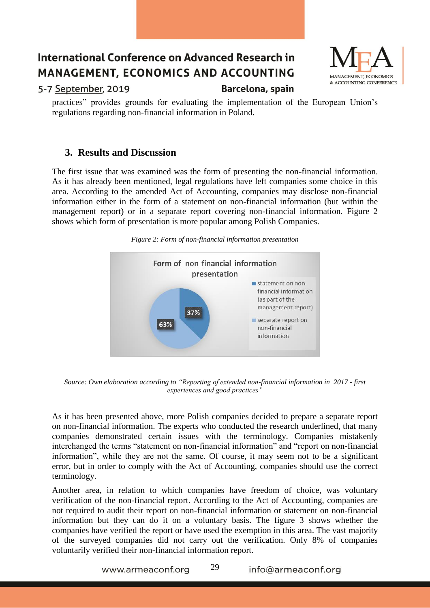

5-7 September, 2019

Barcelona, spain

practices" provides grounds for evaluating the implementation of the European Union's regulations regarding non-financial information in Poland.

# **3. Results and Discussion**

The first issue that was examined was the form of presenting the non-financial information. As it has already been mentioned, legal regulations have left companies some choice in this area. According to the amended Act of Accounting, companies may disclose non-financial information either in the form of a statement on non-financial information (but within the management report) or in a separate report covering non-financial information. Figure 2 shows which form of presentation is more popular among Polish Companies.





*Source: Own elaboration according to "Reporting of extended non-financial information in 2017 - first experiences and good practices"*

As it has been presented above, more Polish companies decided to prepare a separate report on non-financial information. The experts who conducted the research underlined, that many companies demonstrated certain issues with the terminology. Companies mistakenly interchanged the terms "statement on non-financial information" and "report on non-financial information", while they are not the same. Of course, it may seem not to be a significant error, but in order to comply with the Act of Accounting, companies should use the correct terminology.

Another area, in relation to which companies have freedom of choice, was voluntary verification of the non-financial report. According to the Act of Accounting, companies are not required to audit their report on non-financial information or statement on non-financial information but they can do it on a voluntary basis. The figure 3 shows whether the companies have verified the report or have used the exemption in this area. The vast majority of the surveyed companies did not carry out the verification. Only 8% of companies voluntarily verified their non-financial information report.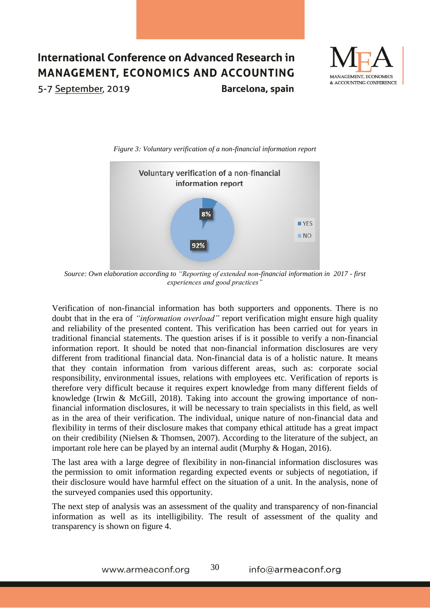



*Figure 3: Voluntary verification of a non-financial information report*

*Source: Own elaboration according to "Reporting of extended non-financial information in 2017 - first experiences and good practices"*

Verification of non-financial information has both supporters and opponents. There is no doubt that in the era of *"information overload"* report verification might ensure high quality and reliability of the presented content. This verification has been carried out for years in traditional financial statements. The question arises if is it possible to verify a non-financial information report. It should be noted that non-financial information disclosures are very different from traditional financial data. Non-financial data is of a holistic nature. It means that they contain information from various different areas, such as: corporate social responsibility, environmental issues, relations with employees etc. Verification of reports is therefore very difficult because it requires expert knowledge from many different fields of knowledge (Irwin & McGill, 2018). Taking into account the growing importance of nonfinancial information disclosures, it will be necessary to train specialists in this field, as well as in the area of their verification. The individual, unique nature of non-financial data and flexibility in terms of their disclosure makes that company ethical attitude has a great impact on their credibility (Nielsen & Thomsen, 2007). According to the literature of the subject, an important role here can be played by an internal audit (Murphy & Hogan, 2016).

The last area with a large degree of flexibility in non-financial information disclosures was the permission to omit information regarding expected events or subjects of negotiation, if their disclosure would have harmful effect on the situation of a unit. In the analysis, none of the surveyed companies used this opportunity.

The next step of analysis was an assessment of the quality and transparency of non-financial information as well as its intelligibility. The result of assessment of the quality and transparency is shown on figure 4.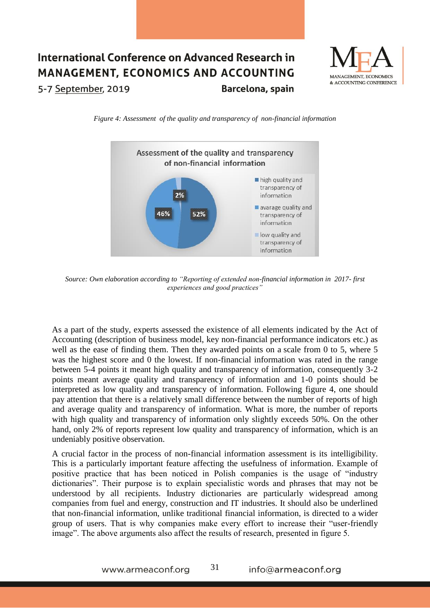

*Figure 4: Assessment of the quality and transparency of non-financial information* 



*Source: Own elaboration according to "Reporting of extended non-financial information in 2017- first experiences and good practices"*

As a part of the study, experts assessed the existence of all elements indicated by the Act of Accounting (description of business model, key non-financial performance indicators etc.) as well as the ease of finding them. Then they awarded points on a scale from 0 to 5, where 5 was the highest score and 0 the lowest. If non-financial information was rated in the range between 5-4 points it meant high quality and transparency of information, consequently 3-2 points meant average quality and transparency of information and 1-0 points should be interpreted as low quality and transparency of information. Following figure 4, one should pay attention that there is a relatively small difference between the number of reports of high and average quality and transparency of information. What is more, the number of reports with high quality and transparency of information only slightly exceeds 50%. On the other hand, only 2% of reports represent low quality and transparency of information, which is an undeniably positive observation.

A crucial factor in the process of non-financial information assessment is its intelligibility. This is a particularly important feature affecting the usefulness of information. Example of positive practice that has been noticed in Polish companies is the usage of "industry dictionaries". Their purpose is to explain specialistic words and phrases that may not be understood by all recipients. Industry dictionaries are particularly widespread among companies from fuel and energy, construction and IT industries. It should also be underlined that non-financial information, unlike traditional financial information, is directed to a wider group of users. That is why companies make every effort to increase their "user-friendly image". The above arguments also affect the results of research, presented in figure 5.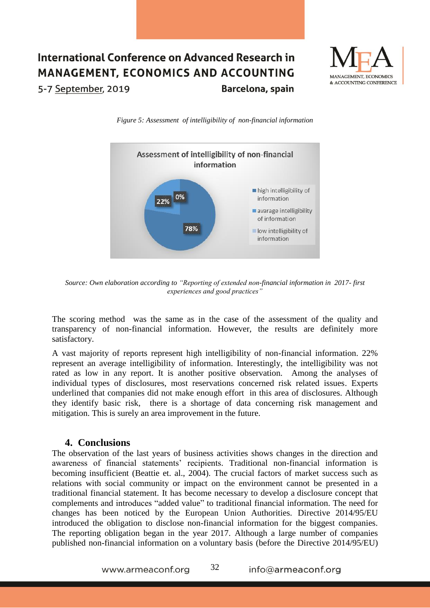

*Figure 5: Assessment of intelligibility of non-financial information* 



*Source: Own elaboration according to "Reporting of extended non-financial information in 2017- first experiences and good practices"*

The scoring method was the same as in the case of the assessment of the quality and transparency of non-financial information. However, the results are definitely more satisfactory.

A vast majority of reports represent high intelligibility of non-financial information. 22% represent an average intelligibility of information. Interestingly, the intelligibility was not rated as low in any report. It is another positive observation. Among the analyses of individual types of disclosures, most reservations concerned risk related issues. Experts underlined that companies did not make enough effort in this area of disclosures. Although they identify basic risk, there is a shortage of data concerning risk management and mitigation. This is surely an area improvement in the future.

#### **4. Conclusions**

The observation of the last years of business activities shows changes in the direction and awareness of financial statements' recipients. Traditional non-financial information is becoming insufficient (Beattie et. al., 2004). The crucial factors of market success such as relations with social community or impact on the environment cannot be presented in a traditional financial statement. It has become necessary to develop a disclosure concept that complements and introduces "added value" to traditional financial information. The need for changes has been noticed by the European Union Authorities. Directive 2014/95/EU introduced the obligation to disclose non-financial information for the biggest companies. The reporting obligation began in the year 2017. Although a large number of companies published non-financial information on a voluntary basis (before the Directive 2014/95/EU)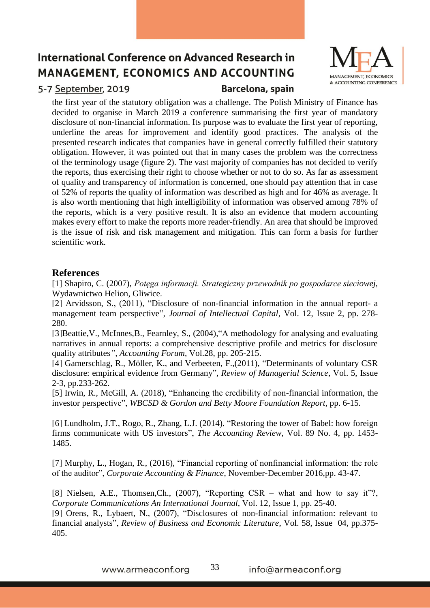

## 5-7 September, 2019

#### Barcelona, spain

the first year of the statutory obligation was a challenge. The Polish Ministry of Finance has decided to organise in March 2019 a conference summarising the first year of mandatory disclosure of non-financial information. Its purpose was to evaluate the first year of reporting, underline the areas for improvement and identify good practices. The analysis of the presented research indicates that companies have in general correctly fulfilled their statutory obligation. However, it was pointed out that in many cases the problem was the correctness of the terminology usage (figure 2). The vast majority of companies has not decided to verify the reports, thus exercising their right to choose whether or not to do so. As far as assessment of quality and transparency of information is concerned, one should pay attention that in case of 52% of reports the quality of information was described as high and for 46% as average. It is also worth mentioning that high intelligibility of information was observed among 78% of the reports, which is a very positive result. It is also an evidence that modern accounting makes every effort to make the reports more reader-friendly. An area that should be improved is the issue of risk and risk management and mitigation. This can form a basis for further scientific work.

### **References**

[1] Shapiro, C. (2007), *Potęga informacji. Strategiczny przewodnik po gospodarce sieciowej,* Wydawnictwo Helion, Gliwice.

[2] Arvidsson, S., (2011), "Disclosure of non-financial information in the annual report- a management team perspective"*, Journal of Intellectual Capital*, Vol. 12, Issue 2, pp. 278- 280.

[3]Beattie,V., McInnes,B., Fearnley, S., (2004),"A methodology for analysing and evaluating narratives in annual reports: a comprehensive descriptive profile and metrics for disclosure quality attributes*", Accounting Forum*, Vol.28, pp. 205-215.

[4] Gamerschlag, R., Möller, K., and Verbeeten, F.,(2011), "Determinants of voluntary CSR disclosure: empirical evidence from Germany"*, Review of Managerial Science*, Vol. 5, Issue 2-3, pp.233-262.

[5] Irwin, R., McGill, A. (2018), "Enhancing the credibility of non-financial information, the investor perspective", *WBCSD & Gordon and Betty Moore Foundation Report*, pp. 6-15.

[6] Lundholm, J.T., Rogo, R., Zhang, L.J. (2014). "Restoring the tower of Babel: how foreign firms communicate with US investors", *The Accounting Review*, Vol. 89 No. 4, pp. 1453- 1485.

[7] Murphy, L., Hogan, R., (2016), "Financial reporting of nonfinancial information: the role of the auditor", *Corporate Accounting & Finance*, November-December 2016,pp. 43-47.

[8] Nielsen, A.E., Thomsen,Ch., (2007), "Reporting CSR – what and how to say it"?, *Corporate Communications An International Journal*, Vol. 12, Issue 1, pp. 25-40.

[9] Orens, R., Lybaert, N., (2007), "Disclosures of non-financial information: relevant to financial analysts", *Review of Business and Economic Literature*, Vol. 58, Issue 04, pp.375- 405.